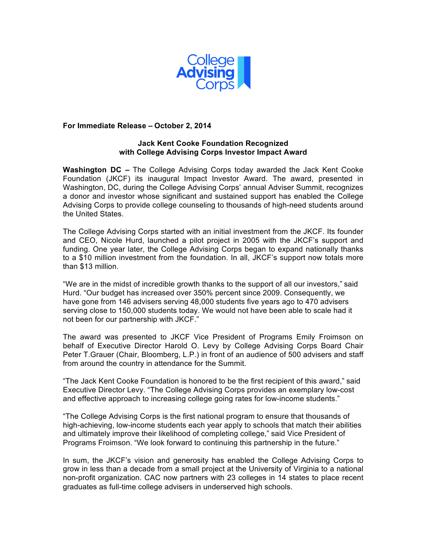

# **For Immediate Release – October 2, 2014**

# **Jack Kent Cooke Foundation Recognized with College Advising Corps Investor Impact Award**

**Washington DC –** The College Advising Corps today awarded the Jack Kent Cooke Foundation (JKCF) its inaugural Impact Investor Award. The award, presented in Washington, DC, during the College Advising Corps' annual Adviser Summit, recognizes a donor and investor whose significant and sustained support has enabled the College Advising Corps to provide college counseling to thousands of high-need students around the United States.

The College Advising Corps started with an initial investment from the JKCF. Its founder and CEO, Nicole Hurd, launched a pilot project in 2005 with the JKCF's support and funding. One year later, the College Advising Corps began to expand nationally thanks to a \$10 million investment from the foundation. In all, JKCF's support now totals more than \$13 million.

"We are in the midst of incredible growth thanks to the support of all our investors," said Hurd. "Our budget has increased over 350% percent since 2009. Consequently, we have gone from 146 advisers serving 48,000 students five years ago to 470 advisers serving close to 150,000 students today. We would not have been able to scale had it not been for our partnership with JKCF."

The award was presented to JKCF Vice President of Programs Emily Froimson on behalf of Executive Director Harold O. Levy by College Advising Corps Board Chair Peter T.Grauer (Chair, Bloomberg, L.P.) in front of an audience of 500 advisers and staff from around the country in attendance for the Summit.

"The Jack Kent Cooke Foundation is honored to be the first recipient of this award," said Executive Director Levy. "The College Advising Corps provides an exemplary low-cost and effective approach to increasing college going rates for low-income students."

"The College Advising Corps is the first national program to ensure that thousands of high-achieving, low-income students each year apply to schools that match their abilities and ultimately improve their likelihood of completing college," said Vice President of Programs Froimson. "We look forward to continuing this partnership in the future."

In sum, the JKCF's vision and generosity has enabled the College Advising Corps to grow in less than a decade from a small project at the University of Virginia to a national non-profit organization. CAC now partners with 23 colleges in 14 states to place recent graduates as full-time college advisers in underserved high schools.